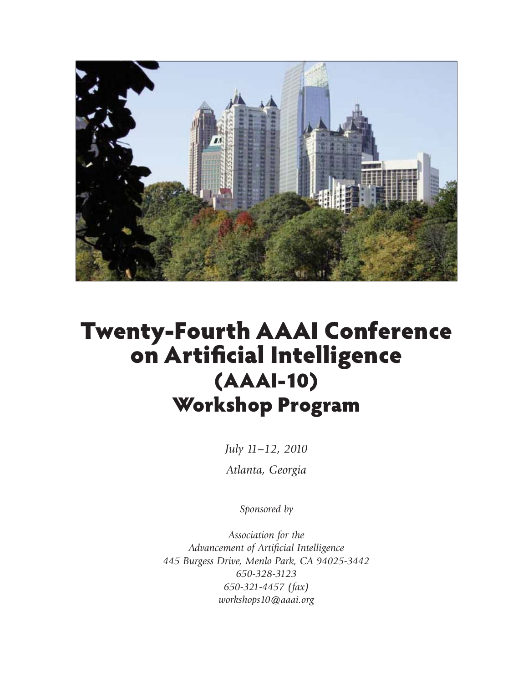

# Twenty-Fourth AAAI Conference (AAAI-10) 、<br>kshon Proc Workshop Program

*July 11–12, 2010 Atlanta, Georgia*

*Sponsored by*

*Association for the Advancement of Artificial Intelligence 445 Burgess Drive, Menlo Park, CA 94025-3442 650-328-3123 650-321-4457 (fax) workshops10@aaai.org*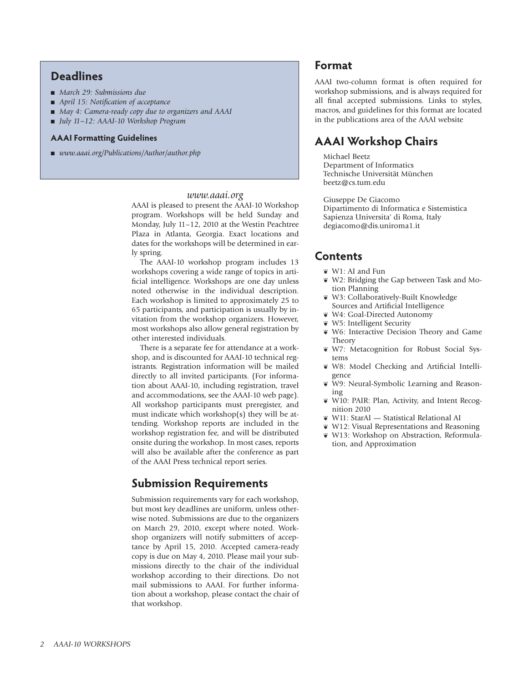# **Deadlines**

- <sup>n</sup> *March 29: Submissions due*
- *April 15: Notification of acceptance*
- *May* 4: *Camera-ready copy due to organizers and AAAI*
- <sup>n</sup> *July 11–12: AAAI-10 Workshop Program*

# **AAAI Formatting Guidelines**

■ *www.aaai.org/Publications/Author/author.php* 

#### *www.aaai.org*

AAAI is pleased to present the AAAI-10 Workshop program. Workshops will be held Sunday and Monday, July 11–12, 2010 at the Westin Peachtree Plaza in Atlanta, Georgia. Exact locations and dates for the workshops will be determined in early spring.

The AAAI-10 workshop program includes 13 workshops covering a wide range of topics in artificial intelligence. Workshops are one day unless noted otherwise in the individual description. Each workshop is limited to approximately 25 to 65 participants, and participation is usually by invitation from the workshop organizers. However, most workshops also allow general registration by other interested individuals.

There is a separate fee for attendance at a workshop, and is discounted for AAAI-10 technical registrants. Registration information will be mailed directly to all invited participants. (For information about AAAI-10, including registration, travel and accommodations, see the AAAI-10 web page). All workshop participants must preregister, and must indicate which workshop(s) they will be attending. Workshop reports are included in the workshop registration fee, and will be distributed onsite during the workshop. In most cases, reports will also be available after the conference as part of the AAAI Press technical report series.

# **Submission Requirements**

Submission requirements vary for each workshop, but most key deadlines are uniform, unless otherwise noted. Submissions are due to the organizers on March 29, 2010, except where noted. Workshop organizers will notify submitters of acceptance by April 15, 2010. Accepted camera-ready copy is due on May 4, 2010. Please mail your submissions directly to the chair of the individual workshop according to their directions. Do not mail submissions to AAAI. For further information about a workshop, please contact the chair of that workshop.

# **Format**

AAAI two-column format is often required for workshop submissions, and is always required for all final accepted submissions. Links to styles, macros, and guidelines for this format are located in the publications area of the AAAI website

# **AAAI Workshop Chairs**

Michael Beetz Department of Informatics Technische Universität München beetz@cs.tum.edu

Giuseppe De Giacomo Dipartimento di Informatica e Sistemistica Sapienza Universita' di Roma, Italy degiacomo@dis.uniroma1.it

# **Contents**

- ¶ W1: AI and Fun
- ¶ W2: Bridging the Gap between Task and Motion Planning
- ¶ W3: Collaboratively-Built Knowledge Sources and Artificial Intelligence
- ¶ W4: Goal-Directed Autonomy
- ¶ W5: Intelligent Security
- ¶ W6: Interactive Decision Theory and Game Theory
- ¶ W7: Metacognition for Robust Social Systems
- ¶ W8: Model Checking and Artificial Intelligence
- ¶ W9: Neural-Symbolic Learning and Reasoning
- ¶ W10: PAIR: Plan, Activity, and Intent Recognition 2010
- ¶ W11: StarAI Statistical Relational AI
- ¶ W12: Visual Representations and Reasoning
- ¶ W13: Workshop on Abstraction, Reformulation, and Approximation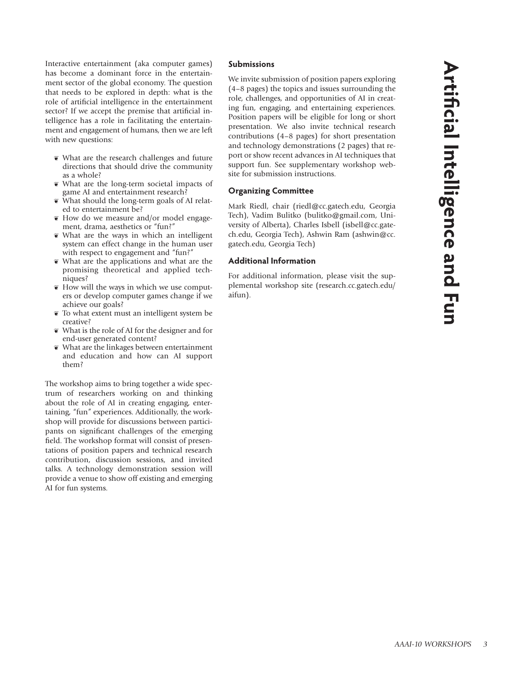Interactive entertainment (aka computer games) has become a dominant force in the entertainment sector of the global economy. The question that needs to be explored in depth: what is the role of artificial intelligence in the entertainment sector? If we accept the premise that artificial intelligence has a role in facilitating the entertainment and engagement of humans, then we are left with new questions:

- ¶ What are the research challenges and future directions that should drive the community as a whole?
- ¶ What are the long-term societal impacts of game AI and entertainment research?
- ¶ What should the long-term goals of AI related to entertainment be?
- ¶ How do we measure and/or model engagement, drama, aesthetics or "fun?"
- ¶ What are the ways in which an intelligent system can effect change in the human user with respect to engagement and "fun?"
- ¶ What are the applications and what are the promising theoretical and applied techniques?
- ¶ How will the ways in which we use computers or develop computer games change if we achieve our goals?
- ¶ To what extent must an intelligent system be creative?
- ¶ What is the role of AI for the designer and for end-user generated content?
- What are the linkages between entertainment and education and how can AI support them?

The workshop aims to bring together a wide spectrum of researchers working on and thinking about the role of AI in creating engaging, entertaining, "fun" experiences. Additionally, the workshop will provide for discussions between participants on significant challenges of the emerging field. The workshop format will consist of presentations of position papers and technical research contribution, discussion sessions, and invited talks. A technology demonstration session will provide a venue to show off existing and emerging AI for fun systems.

# **Submissions**

We invite submission of position papers exploring (4–8 pages) the topics and issues surrounding the role, challenges, and opportunities of AI in creating fun, engaging, and entertaining experiences. Position papers will be eligible for long or short presentation. We also invite technical research contributions (4–8 pages) for short presentation and technology demonstrations (2 pages) that report or show recent advances in AI techniques that support fun. See supplementary workshop website for submission instructions.

# **Organizing Committee**

Mark Riedl, chair (riedl@cc.gatech.edu, Georgia Tech), Vadim Bulitko (bulitko@gmail.com, University of Alberta), Charles Isbell (isbell@cc.gatech.edu, Georgia Tech), Ashwin Ram (ashwin@cc. gatech.edu, Georgia Tech)

### **Additional Information**

For additional information, please visit the supplemental workshop site (research.cc.gatech.edu/ aifun).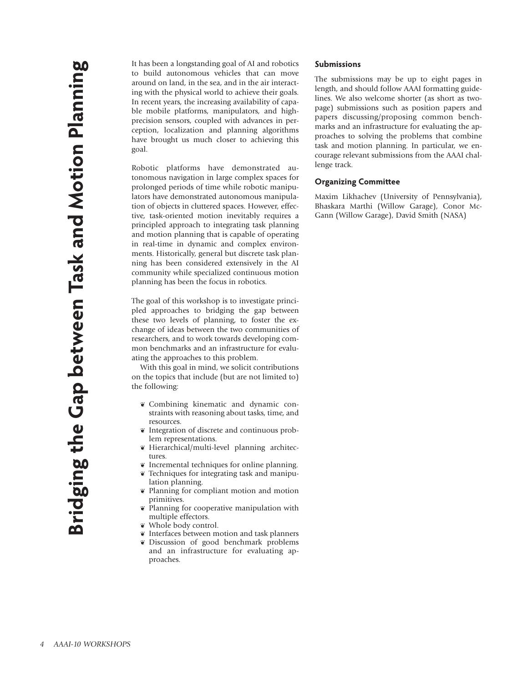It has been a longstanding goal of AI and robotics to build autonomous vehicles that can move around on land, in the sea, and in the air interacting with the physical world to achieve their goals. In recent years, the increasing availability of capable mobile platforms, manipulators, and highprecision sensors, coupled with advances in perception, localization and planning algorithms have brought us much closer to achieving this goal.

Robotic platforms have demonstrated autonomous navigation in large complex spaces for prolonged periods of time while robotic manipulators have demonstrated autonomous manipulation of objects in cluttered spaces. However, effective, task-oriented motion inevitably requires a principled approach to integrating task planning and motion planning that is capable of operating in real-time in dynamic and complex environments. Historically, general but discrete task planning has been considered extensively in the AI community while specialized continuous motion planning has been the focus in robotics.

The goal of this workshop is to investigate principled approaches to bridging the gap between these two levels of planning, to foster the exchange of ideas between the two communities of researchers, and to work towards developing common benchmarks and an infrastructure for evaluating the approaches to this problem.

With this goal in mind, we solicit contributions on the topics that include (but are not limited to) the following:

- ¶ Combining kinematic and dynamic constraints with reasoning about tasks, time, and resources.
- ¶ Integration of discrete and continuous problem representations.
- ¶ Hierarchical/multi-level planning architectures.
- ¶ Incremental techniques for online planning.
- ¶ Techniques for integrating task and manipulation planning.
- ¶ Planning for compliant motion and motion primitives.
- ¶ Planning for cooperative manipulation with multiple effectors.
- ¶ Whole body control.
- ¶ Interfaces between motion and task planners
- ¶ Discussion of good benchmark problems and an infrastructure for evaluating approaches.

#### **Submissions**

The submissions may be up to eight pages in length, and should follow AAAI formatting guidelines. We also welcome shorter (as short as twopage) submissions such as position papers and papers discussing/proposing common benchmarks and an infrastructure for evaluating the approaches to solving the problems that combine task and motion planning. In particular, we encourage relevant submissions from the AAAI challenge track.

### **Organizing Committee**

Maxim Likhachev (University of Pennsylvania), Bhaskara Marthi (Willow Garage), Conor Mc-Gann (Willow Garage), David Smith (NASA)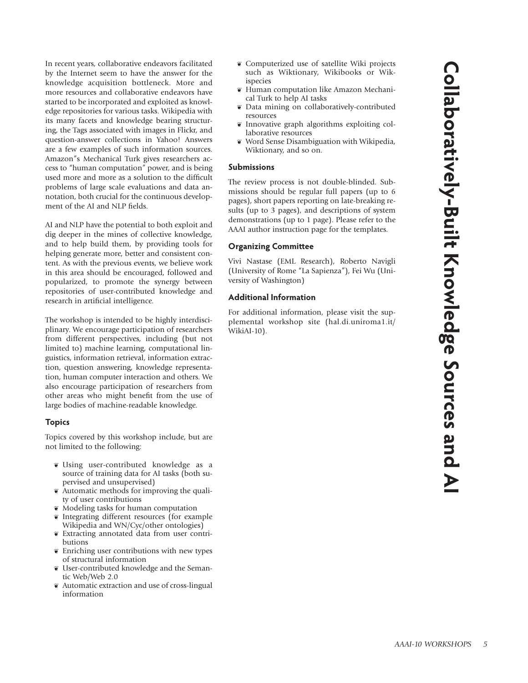In recent years, collaborative endeavors facilitated by the Internet seem to have the answer for the knowledge acquisition bottleneck. More and more resources and collaborative endeavors have started to be incorporated and exploited as knowledge repositories for various tasks. Wikipedia with its many facets and knowledge bearing structuring, the Tags associated with images in Flickr, and question-answer collections in Yahoo! Answers are a few examples of such information sources. Amazon"s Mechanical Turk gives researchers access to "human computation" power, and is being used more and more as a solution to the difficult problems of large scale evaluations and data annotation, both crucial for the continuous development of the AI and NLP fields.

AI and NLP have the potential to both exploit and dig deeper in the mines of collective knowledge, and to help build them, by providing tools for helping generate more, better and consistent content. As with the previous events, we believe work in this area should be encouraged, followed and popularized, to promote the synergy between repositories of user-contributed knowledge and research in artificial intelligence.

The workshop is intended to be highly interdisciplinary. We encourage participation of researchers from different perspectives, including (but not limited to) machine learning, computational linguistics, information retrieval, information extraction, question answering, knowledge representation, human computer interaction and others. We also encourage participation of researchers from other areas who might benefit from the use of large bodies of machine-readable knowledge.

# **Topics**

Topics covered by this workshop include, but are not limited to the following:

- ¶ Using user-contributed knowledge as a source of training data for AI tasks (both supervised and unsupervised)
- $\mathbf{\tilde{v}}$  Automatic methods for improving the quality of user contributions
- ¶ Modeling tasks for human computation
- ¶ Integrating different resources (for example Wikipedia and WN/Cyc/other ontologies)
- ¶ Extracting annotated data from user contributions
- Enriching user contributions with new types of structural information
- ¶ User-contributed knowledge and the Semantic Web/Web 2.0
- $*$  Automatic extraction and use of cross-lingual information
- ¶ Computerized use of satellite Wiki projects such as Wiktionary, Wikibooks or Wikispecies
- ¶ Human computation like Amazon Mechanical Turk to help AI tasks
- Data mining on collaboratively-contributed resources
- Innovative graph algorithms exploiting collaborative resources
- Word Sense Disambiguation with Wikipedia, Wiktionary, and so on.

#### **Submissions**

The review process is not double-blinded. Submissions should be regular full papers (up to 6 pages), short papers reporting on late-breaking results (up to 3 pages), and descriptions of system demonstrations (up to 1 page). Please refer to the AAAI author instruction page for the templates.

# **Organizing Committee**

Vivi Nastase (EML Research), Roberto Navigli (University of Rome "La Sapienza"), Fei Wu (University of Washington)

# **Additional Information**

For additional information, please visit the supplemental workshop site (hal.di.uniroma1.it/ WikiAI-10).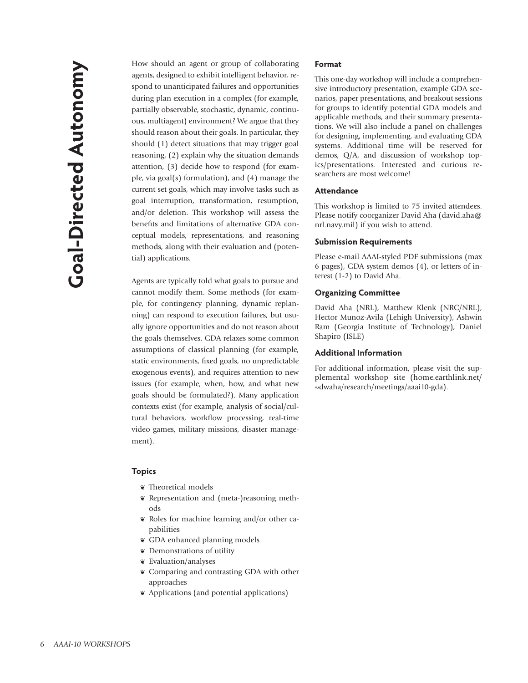How should an agent or group of collaborating agents, designed to exhibit intelligent behavior, respond to unanticipated failures and opportunities during plan execution in a complex (for example, partially observable, stochastic, dynamic, continuous, multiagent) environment? We argue that they should reason about their goals. In particular, they should (1) detect situations that may trigger goal reasoning, (2) explain why the situation demands attention, (3) decide how to respond (for example, via goal(s) formulation), and (4) manage the current set goals, which may involve tasks such as goal interruption, transformation, resumption, and/or deletion. This workshop will assess the benefits and limitations of alternative GDA conceptual models, representations, and reasoning methods, along with their evaluation and (potential) applications.

Agents are typically told what goals to pursue and cannot modify them. Some methods (for example, for contingency planning, dynamic replanning) can respond to execution failures, but usually ignore opportunities and do not reason about the goals themselves. GDA relaxes some common assumptions of classical planning (for example, static environments, fixed goals, no unpredictable exogenous events), and requires attention to new issues (for example, when, how, and what new goals should be formulated?). Many application contexts exist (for example, analysis of social/cultural behaviors, workflow processing, real-time video games, military missions, disaster management).

#### **Topics**

- $\mathbf$  Theoretical models
- ¶ Representation and (meta-)reasoning methods
- $\ddot{\mathbf{v}}$  Roles for machine learning and/or other capabilities
- ¶ GDA enhanced planning models
- ¶ Demonstrations of utility
- ¶ Evaluation/analyses
- ¶ Comparing and contrasting GDA with other approaches
- ¶ Applications (and potential applications)

#### **Format**

This one-day workshop will include a comprehensive introductory presentation, example GDA scenarios, paper presentations, and breakout sessions for groups to identify potential GDA models and applicable methods, and their summary presentations. We will also include a panel on challenges for designing, implementing, and evaluating GDA systems. Additional time will be reserved for demos, Q/A, and discussion of workshop topics/presentations. Interested and curious researchers are most welcome!

## **Attendance**

This workshop is limited to 75 invited attendees. Please notify coorganizer David Aha (david.aha@ nrl.navy.mil) if you wish to attend.

# **Submission Requirements**

Please e-mail AAAI-styled PDF submissions (max 6 pages), GDA system demos (4), or letters of interest (1-2) to David Aha.

## **Organizing Committee**

David Aha (NRL), Matthew Klenk (NRC/NRL), Hector Munoz-Avila (Lehigh University), Ashwin Ram (Georgia Institute of Technology), Daniel Shapiro (ISLE)

#### **Additional Information**

For additional information, please visit the supplemental workshop site (home.earthlink.net/ ~dwaha/research/meetings/aaai10-gda).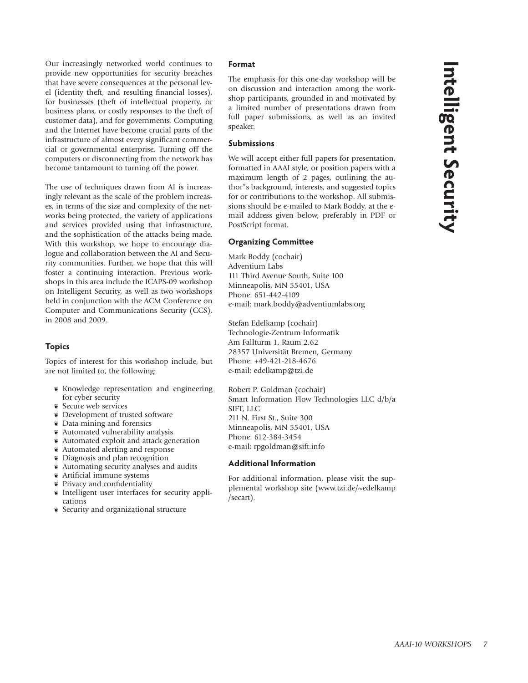Our increasingly networked world continues to provide new opportunities for security breaches that have severe consequences at the personal level (identity theft, and resulting financial losses), for businesses (theft of intellectual property, or business plans, or costly responses to the theft of customer data), and for governments. Computing and the Internet have become crucial parts of the infrastructure of almost every significant commercial or governmental enterprise. Turning off the computers or disconnecting from the network has become tantamount to turning off the power.

The use of techniques drawn from AI is increasingly relevant as the scale of the problem increases, in terms of the size and complexity of the networks being protected, the variety of applications and services provided using that infrastructure, and the sophistication of the attacks being made. With this workshop, we hope to encourage dialogue and collaboration between the AI and Security communities. Further, we hope that this will foster a continuing interaction. Previous workshops in this area include the ICAPS-09 workshop on Intelligent Security, as well as two workshops held in conjunction with the ACM Conference on Computer and Communications Security (CCS), in 2008 and 2009.

# **Topics**

Topics of interest for this workshop include, but are not limited to, the following:

- ¶ Knowledge representation and engineering for cyber security
- ¶ Secure web services
- ¶ Development of trusted software
- ¶ Data mining and forensics
- ¶ Automated vulnerability analysis
- ¶ Automated exploit and attack generation
- ¶ Automated alerting and response
- ¶ Diagnosis and plan recognition
- ¶ Automating security analyses and audits
- ¶ Artificial immune systems
- ¶ Privacy and confidentiality
- ¶ Intelligent user interfaces for security applications
- ¶ Security and organizational structure

# **Format**

The emphasis for this one-day workshop will be on discussion and interaction among the workshop participants, grounded in and motivated by a limited number of presentations drawn from full paper submissions, as well as an invited speaker.

#### **Submissions**

We will accept either full papers for presentation, formatted in AAAI style, or position papers with a maximum length of 2 pages, outlining the author"s background, interests, and suggested topics for or contributions to the workshop. All submissions should be e-mailed to Mark Boddy, at the email address given below, preferably in PDF or PostScript format.

# **Organizing Committee**

Mark Boddy (cochair) Adventium Labs 111 Third Avenue South, Suite 100 Minneapolis, MN 55401, USA Phone: 651-442-4109 e-mail: mark.boddy@adventiumlabs.org

Stefan Edelkamp (cochair) Technologie-Zentrum Informatik Am Fallturm 1, Raum 2.62 28357 Universität Bremen, Germany Phone: +49-421-218-4676 e-mail: edelkamp@tzi.de

Robert P. Goldman (cochair) Smart Information Flow Technologies LLC d/b/a SIFT, LLC 211 N. First St., Suite 300 Minneapolis, MN 55401, USA Phone: 612-384-3454 e-mail: rpgoldman@sift.info

## **Additional Information**

For additional information, please visit the supplemental workshop site (www.tzi.de/~edelkamp /secart).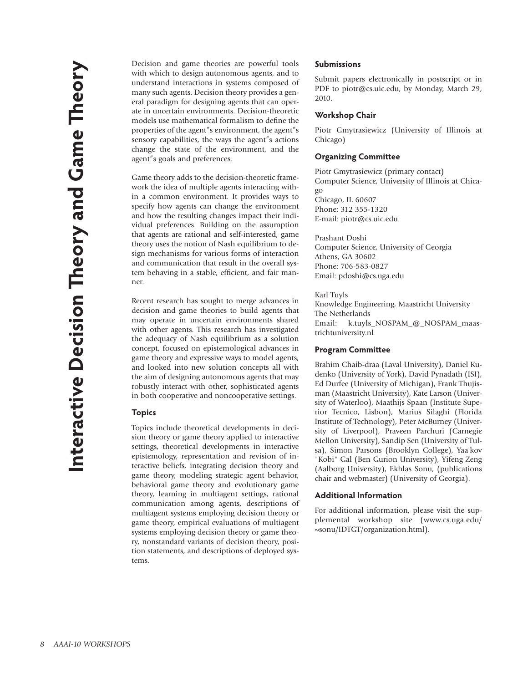Decision and game theories are powerful tools with which to design autonomous agents, and to understand interactions in systems composed of many such agents. Decision theory provides a general paradigm for designing agents that can operate in uncertain environments. Decision-theoretic models use mathematical formalism to define the properties of the agent"s environment, the agent"s sensory capabilities, the ways the agent"s actions change the state of the environment, and the agent"s goals and preferences.

Game theory adds to the decision-theoretic framework the idea of multiple agents interacting within a common environment. It provides ways to specify how agents can change the environment and how the resulting changes impact their individual preferences. Building on the assumption that agents are rational and self-interested, game theory uses the notion of Nash equilibrium to design mechanisms for various forms of interaction and communication that result in the overall system behaving in a stable, efficient, and fair manner.

Recent research has sought to merge advances in decision and game theories to build agents that may operate in uncertain environments shared with other agents. This research has investigated the adequacy of Nash equilibrium as a solution concept, focused on epistemological advances in game theory and expressive ways to model agents, and looked into new solution concepts all with the aim of designing autonomous agents that may robustly interact with other, sophisticated agents in both cooperative and noncooperative settings.

#### **Topics**

Topics include theoretical developments in decision theory or game theory applied to interactive settings, theoretical developments in interactive epistemology, representation and revision of interactive beliefs, integrating decision theory and game theory, modeling strategic agent behavior, behavioral game theory and evolutionary game theory, learning in multiagent settings, rational communication among agents, descriptions of multiagent systems employing decision theory or game theory, empirical evaluations of multiagent systems employing decision theory or game theory, nonstandard variants of decision theory, position statements, and descriptions of deployed systems.

#### **Submissions**

Submit papers electronically in postscript or in PDF to piotr@cs.uic.edu, by Monday, March 29, 2010.

#### **Workshop Chair**

Piotr Gmytrasiewicz (University of Illinois at Chicago)

# **Organizing Committee**

Piotr Gmytrasiewicz (primary contact) Computer Science, University of Illinois at Chicago Chicago, IL 60607 Phone: 312 355-1320 E-mail: piotr@cs.uic.edu

Prashant Doshi Computer Science, University of Georgia Athens, GA 30602 Phone: 706-583-0827 Email: pdoshi@cs.uga.edu

Karl Tuyls Knowledge Engineering, Maastricht University The Netherlands Email: k.tuyls\_NOSPAM\_@\_NOSPAM\_maastrichtuniversity.nl

# **Program Committee**

Brahim Chaib-draa (Laval University), Daniel Kudenko (University of York), David Pynadath (ISI), Ed Durfee (University of Michigan), Frank Thujisman (Maastricht University), Kate Larson (University of Waterloo), Maathijs Spaan (Institute Superior Tecnico, Lisbon), Marius Silaghi (Florida Institute of Technology), Peter McBurney (University of Liverpool), Praveen Parchuri (Carnegie Mellon University), Sandip Sen (University of Tulsa), Simon Parsons (Brooklyn College), Yaa'kov "Kobi" Gal (Ben Gurion University), Yifeng Zeng (Aalborg University), Ekhlas Sonu, (publications chair and webmaster) (University of Georgia).

### **Additional Information**

For additional information, please visit the supplemental workshop site (www.cs.uga.edu/ ~sonu/IDTGT/organization.html).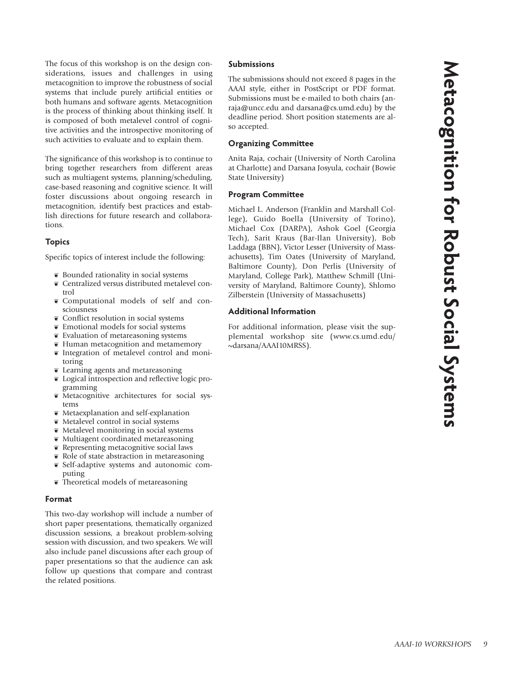**Metacognition for Robust Social Systems** Metacognition for Robust Social Systems

The focus of this workshop is on the design considerations, issues and challenges in using metacognition to improve the robustness of social systems that include purely artificial entities or both humans and software agents. Metacognition is the process of thinking about thinking itself. It is composed of both metalevel control of cognitive activities and the introspective monitoring of such activities to evaluate and to explain them.

The significance of this workshop is to continue to bring together researchers from different areas such as multiagent systems, planning/scheduling, case-based reasoning and cognitive science. It will foster discussions about ongoing research in metacognition, identify best practices and establish directions for future research and collaborations.

# **Topics**

Specific topics of interest include the following:

- ¶ Bounded rationality in social systems
- ¶ Centralized versus distributed metalevel control
- ¶ Computational models of self and consciousness
- Conflict resolution in social systems
- ¶ Emotional models for social systems
- ¶ Evaluation of metareasoning systems
- ¶ Human metacognition and metamemory
- ¶ Integration of metalevel control and monitoring
- ¶ Learning agents and metareasoning
- ¶ Logical introspection and reflective logic programming
- ¶ Metacognitive architectures for social systems
- ¶ Metaexplanation and self-explanation
- ¶ Metalevel control in social systems
- ¶ Metalevel monitoring in social systems
- ¶ Multiagent coordinated metareasoning
- ¶ Representing metacognitive social laws
- ¶ Role of state abstraction in metareasoning
- ¶ Self-adaptive systems and autonomic computing
- ¶ Theoretical models of metareasoning

#### **Format**

This two-day workshop will include a number of short paper presentations, thematically organized discussion sessions, a breakout problem-solving session with discussion, and two speakers. We will also include panel discussions after each group of paper presentations so that the audience can ask follow up questions that compare and contrast the related positions.

#### **Submissions**

The submissions should not exceed 8 pages in the AAAI style, either in PostScript or PDF format. Submissions must be e-mailed to both chairs (anraja@uncc.edu and darsana@cs.umd.edu) by the deadline period. Short position statements are also accepted.

# **Organizing Committee**

Anita Raja, cochair (University of North Carolina at Charlotte) and Darsana Josyula, cochair (Bowie State University)

# **Program Committee**

Michael L. Anderson (Franklin and Marshall College), Guido Boella (University of Torino), Michael Cox (DARPA), Ashok Goel (Georgia Tech), Sarit Kraus (Bar-Ilan University), Bob Laddaga (BBN), Victor Lesser (University of Massachusetts), Tim Oates (University of Maryland, Baltimore County), Don Perlis (University of Maryland, College Park), Matthew Schmill (University of Maryland, Baltimore County), Shlomo Zilberstein (University of Massachusetts)

#### **Additional Information**

For additional information, please visit the supplemental workshop site (www.cs.umd.edu/ ~darsana/AAAI10MRSS).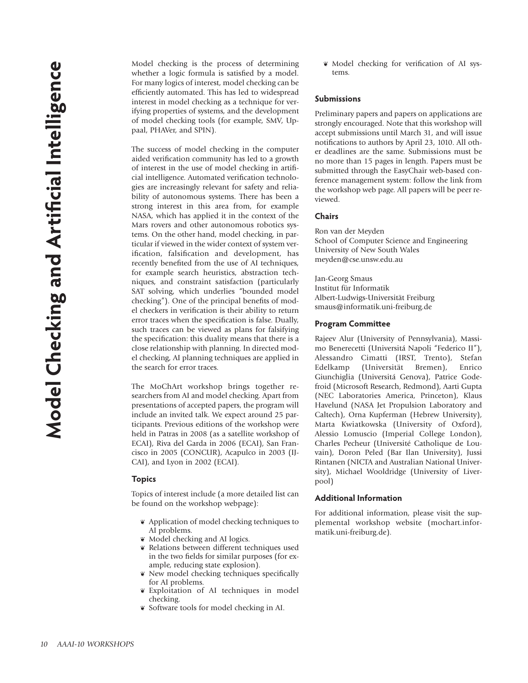Model checking is the process of determining whether a logic formula is satisfied by a model. For many logics of interest, model checking can be efficiently automated. This has led to widespread interest in model checking as a technique for verifying properties of systems, and the development of model checking tools (for example, SMV, Uppaal, PHAVer, and SPIN).

The success of model checking in the computer aided verification community has led to a growth of interest in the use of model checking in artificial intelligence. Automated verification technologies are increasingly relevant for safety and reliability of autonomous systems. There has been a strong interest in this area from, for example NASA, which has applied it in the context of the Mars rovers and other autonomous robotics systems. On the other hand, model checking, in particular if viewed in the wider context of system verification, falsification and development, has recently benefited from the use of AI techniques, for example search heuristics, abstraction techniques, and constraint satisfaction (particularly SAT solving, which underlies "bounded model checking"). One of the principal benefits of model checkers in verification is their ability to return error traces when the specification is false. Dually, such traces can be viewed as plans for falsifying the specification: this duality means that there is a close relationship with planning. In directed model checking, AI planning techniques are applied in the search for error traces.

The MoChArt workshop brings together researchers from AI and model checking. Apart from presentations of accepted papers, the program will include an invited talk. We expect around 25 participants. Previous editions of the workshop were held in Patras in 2008 (as a satellite workshop of ECAI), Riva del Garda in 2006 (ECAI), San Francisco in 2005 (CONCUR), Acapulco in 2003 (IJ-CAI), and Lyon in 2002 (ECAI).

#### **Topics**

Topics of interest include (a more detailed list can be found on the workshop webpage):

- ¶ Application of model checking techniques to AI problems.
- ¶ Model checking and AI logics.
- ¶ Relations between different techniques used in the two fields for similar purposes (for example, reducing state explosion).
- ¶ New model checking techniques specifically for AI problems.
- ¶ Exploitation of AI techniques in model checking.
- ¶ Software tools for model checking in AI.

¶ Model checking for verification of AI systems.

# **Submissions**

Preliminary papers and papers on applications are strongly encouraged. Note that this workshop will accept submissions until March 31, and will issue notifications to authors by April 23, 1010. All other deadlines are the same. Submissions must be no more than 15 pages in length. Papers must be submitted through the EasyChair web-based conference management system: follow the link from the workshop web page. All papers will be peer reviewed.

#### **Chairs**

Ron van der Meyden School of Computer Science and Engineering University of New South Wales meyden@cse.unsw.edu.au

Jan-Georg Smaus Institut für Informatik Albert-Ludwigs-Universität Freiburg smaus@informatik.uni-freiburg.de

#### **Program Committee**

Rajeev Alur (University of Pennsylvania), Massimo Benerecetti (Universitá Napoli "Federico II"), Alessandro Cimatti (IRST, Trento), Stefan Edelkamp (Universität Bremen), Enrico Giunchiglia (Universitá Genova), Patrice Godefroid (Microsoft Research, Redmond), Aarti Gupta (NEC Laboratories America, Princeton), Klaus Havelund (NASA Jet Propulsion Laboratory and Caltech), Orna Kupferman (Hebrew University), Marta Kwiatkowska (University of Oxford), Alessio Lomuscio (Imperial College London), Charles Pecheur (Université Catholique de Louvain), Doron Peled (Bar Ilan University), Jussi Rintanen (NICTA and Australian National University), Michael Wooldridge (University of Liverpool)

# **Additional Information**

For additional information, please visit the supplemental workshop website (mochart.informatik.uni-freiburg.de).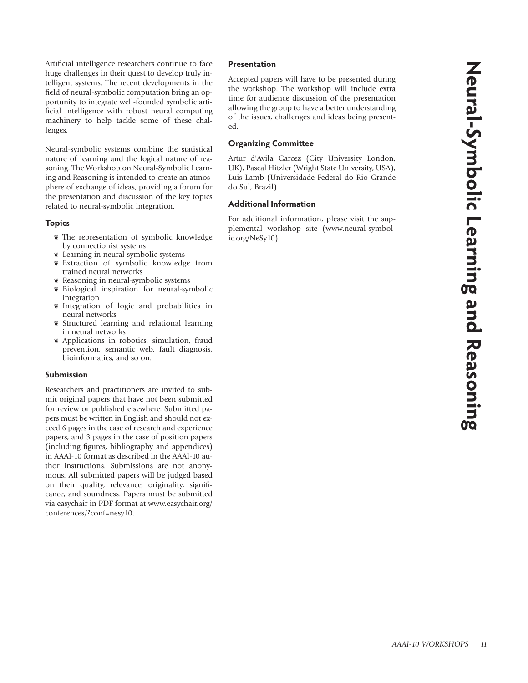Artificial intelligence researchers continue to face huge challenges in their quest to develop truly intelligent systems. The recent developments in the field of neural-symbolic computation bring an opportunity to integrate well-founded symbolic artificial intelligence with robust neural computing machinery to help tackle some of these challenges.

Neural-symbolic systems combine the statistical nature of learning and the logical nature of reasoning. The Workshop on Neural-Symbolic Learning and Reasoning is intended to create an atmosphere of exchange of ideas, providing a forum for the presentation and discussion of the key topics related to neural-symbolic integration.

### **Topics**

- ¶ The representation of symbolic knowledge by connectionist systems
- ¶ Learning in neural-symbolic systems
- ¶ Extraction of symbolic knowledge from trained neural networks
- ¶ Reasoning in neural-symbolic systems
- ¶ Biological inspiration for neural-symbolic integration
- ¶ Integration of logic and probabilities in neural networks
- Structured learning and relational learning in neural networks
- ¶ Applications in robotics, simulation, fraud prevention, semantic web, fault diagnosis, bioinformatics, and so on.

#### **Submission**

Researchers and practitioners are invited to submit original papers that have not been submitted for review or published elsewhere. Submitted papers must be written in English and should not exceed 6 pages in the case of research and experience papers, and 3 pages in the case of position papers (including figures, bibliography and appendices) in AAAI-10 format as described in the AAAI-10 author instructions. Submissions are not anonymous. All submitted papers will be judged based on their quality, relevance, originality, significance, and soundness. Papers must be submitted via easychair in PDF format at www.easychair.org/ conferences/?conf=nesy10.

# **Presentation**

Accepted papers will have to be presented during the workshop. The workshop will include extra time for audience discussion of the presentation allowing the group to have a better understanding of the issues, challenges and ideas being presented.

## **Organizing Committee**

Artur d'Avila Garcez (City University London, UK), Pascal Hitzler (Wright State University, USA), Luis Lamb (Universidade Federal do Rio Grande do Sul, Brazil)

#### **Additional Information**

For additional information, please visit the supplemental workshop site (www.neural-symbolic.org/NeSy10).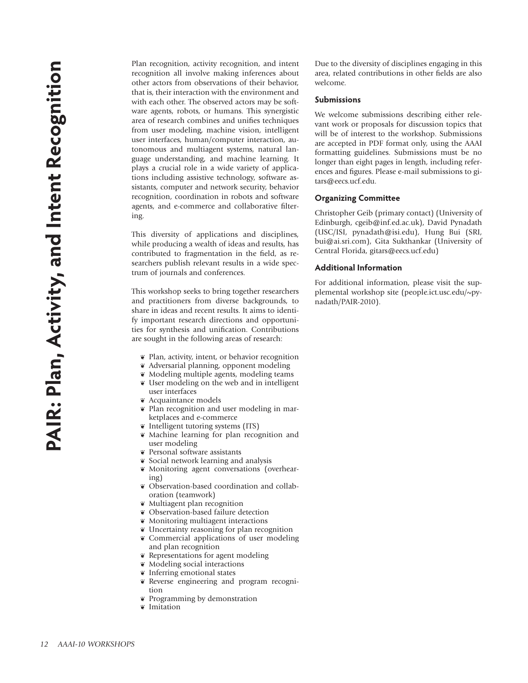Plan recognition, activity recognition, and intent recognition all involve making inferences about other actors from observations of their behavior, that is, their interaction with the environment and with each other. The observed actors may be software agents, robots, or humans. This synergistic area of research combines and unifies techniques from user modeling, machine vision, intelligent user interfaces, human/computer interaction, autonomous and multiagent systems, natural language understanding, and machine learning. It plays a crucial role in a wide variety of applications including assistive technology, software assistants, computer and network security, behavior recognition, coordination in robots and software agents, and e-commerce and collaborative filtering.

This diversity of applications and disciplines, while producing a wealth of ideas and results, has contributed to fragmentation in the field, as researchers publish relevant results in a wide spectrum of journals and conferences.

This workshop seeks to bring together researchers and practitioners from diverse backgrounds, to share in ideas and recent results. It aims to identify important research directions and opportunities for synthesis and unification. Contributions are sought in the following areas of research:

- ¶ Plan, activity, intent, or behavior recognition
- ¶ Adversarial planning, opponent modeling
- ¶ Modeling multiple agents, modeling teams
- ¶ User modeling on the web and in intelligent user interfaces
- ¶ Acquaintance models
- ¶ Plan recognition and user modeling in marketplaces and e-commerce
- ¶ Intelligent tutoring systems (ITS)
- ¶ Machine learning for plan recognition and user modeling
- ¶ Personal software assistants
- ¶ Social network learning and analysis
- ¶ Monitoring agent conversations (overhearing)
- ¶ Observation-based coordination and collaboration (teamwork)
- ¶ Multiagent plan recognition
- ¶ Observation-based failure detection
- ¶ Monitoring multiagent interactions
- ¶ Uncertainty reasoning for plan recognition
- ¶ Commercial applications of user modeling and plan recognition
- ¶ Representations for agent modeling
- Modeling social interactions
- ¶ Inferring emotional states
- ¶ Reverse engineering and program recognition
- Programming by demonstration
- ¶ Imitation

Due to the diversity of disciplines engaging in this area, related contributions in other fields are also welcome.

#### **Submissions**

We welcome submissions describing either relevant work or proposals for discussion topics that will be of interest to the workshop. Submissions are accepted in PDF format only, using the AAAI formatting guidelines. Submissions must be no longer than eight pages in length, including references and figures. Please e-mail submissions to gitars@eecs.ucf.edu.

# **Organizing Committee**

Christopher Geib (primary contact) (University of Edinburgh, cgeib@inf.ed.ac.uk), David Pynadath (USC/ISI, pynadath@isi.edu), Hung Bui (SRI, bui@ai.sri.com), Gita Sukthankar (University of Central Florida, gitars@eecs.ucf.edu)

#### **Additional Information**

For additional information, please visit the supplemental workshop site (people.ict.usc.edu/~pynadath/PAIR-2010).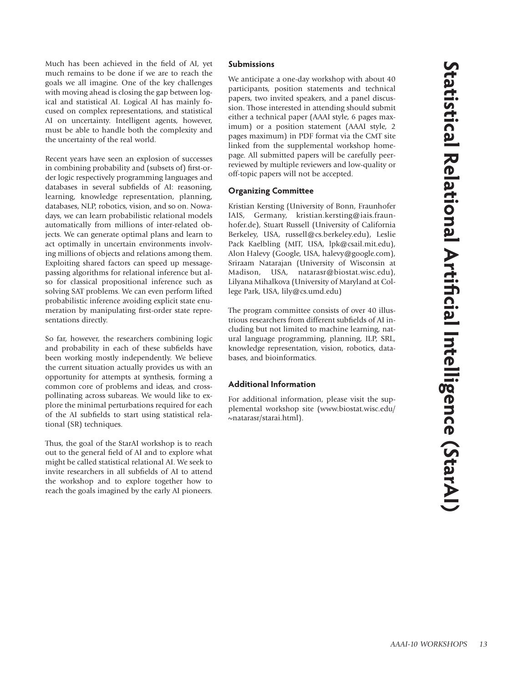Much has been achieved in the field of AI, yet much remains to be done if we are to reach the goals we all imagine. One of the key challenges with moving ahead is closing the gap between logical and statistical AI. Logical AI has mainly focused on complex representations, and statistical AI on uncertainty. Intelligent agents, however, must be able to handle both the complexity and the uncertainty of the real world.

Recent years have seen an explosion of successes in combining probability and (subsets of) first-order logic respectively programming languages and databases in several subfields of AI: reasoning, learning, knowledge representation, planning, databases, NLP, robotics, vision, and so on. Nowadays, we can learn probabilistic relational models automatically from millions of inter-related objects. We can generate optimal plans and learn to act optimally in uncertain environments involving millions of objects and relations among them. Exploiting shared factors can speed up messagepassing algorithms for relational inference but also for classical propositional inference such as solving SAT problems. We can even perform lifted probabilistic inference avoiding explicit state enumeration by manipulating first-order state representations directly.

So far, however, the researchers combining logic and probability in each of these subfields have been working mostly independently. We believe the current situation actually provides us with an opportunity for attempts at synthesis, forming a common core of problems and ideas, and crosspollinating across subareas. We would like to explore the minimal perturbations required for each of the AI subfields to start using statistical relational (SR) techniques.

Thus, the goal of the StarAI workshop is to reach out to the general field of AI and to explore what might be called statistical relational AI. We seek to invite researchers in all subfields of AI to attend the workshop and to explore together how to reach the goals imagined by the early AI pioneers.

# **Submissions**

We anticipate a one-day workshop with about 40 participants, position statements and technical papers, two invited speakers, and a panel discussion. Those interested in attending should submit either a technical paper (AAAI style, 6 pages maximum) or a position statement (AAAI style, 2 pages maximum) in PDF format via the CMT site linked from the supplemental workshop homepage. All submitted papers will be carefully peerreviewed by multiple reviewers and low-quality or off-topic papers will not be accepted.

# **Organizing Committee**

Kristian Kersting (University of Bonn, Fraunhofer IAIS, Germany, kristian.kersting@iais.fraunhofer.de), Stuart Russell (University of California Berkeley, USA, russell@cs.berkeley.edu), Leslie Pack Kaelbling (MIT, USA, lpk@csail.mit.edu), Alon Halevy (Google, USA, halevy@google.com), Sriraam Natarajan (University of Wisconsin at Madison, USA, natarasr@biostat.wisc.edu), Lilyana Mihalkova (University of Maryland at College Park, USA, lily@cs.umd.edu)

The program committee consists of over 40 illustrious researchers from different subfields of AI including but not limited to machine learning, natural language programming, planning, ILP, SRL, knowledge representation, vision, robotics, databases, and bioinformatics.

# **Additional Information**

For additional information, please visit the supplemental workshop site (www.biostat.wisc.edu/ ~natarasr/starai.html).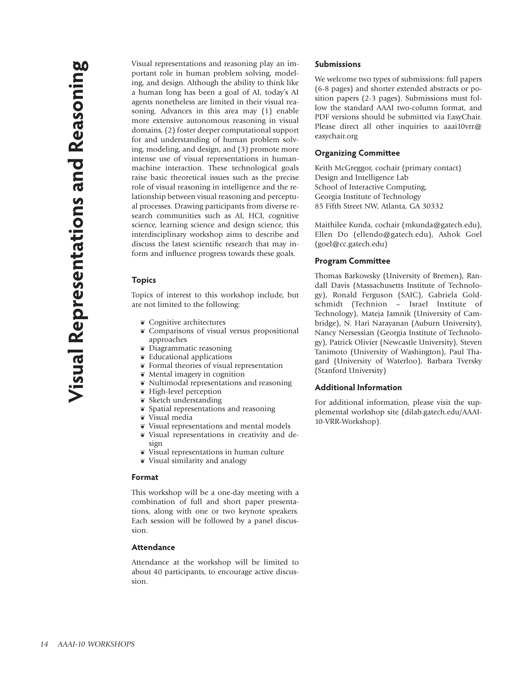Visual representations and reasoning play an important role in human problem solving, modeling, and design. Although the ability to think like a human long has been a goal of AI, today's AI agents nonetheless are limited in their visual reasoning. Advances in this area may (1) enable more extensive autonomous reasoning in visual domains, (2) foster deeper computational support for and understanding of human problem solving, modeling, and design, and (3) promote more intense use of visual representations in humanmachine interaction. These technological goals raise basic theoretical issues such as the precise role of visual reasoning in intelligence and the relationship between visual reasoning and perceptual processes. Drawing participants from diverse research communities such as AI, HCI, cognitive science, learning science and design science, this interdisciplinary workshop aims to describe and discuss the latest scientific research that may inform and influence progress towards these goals.

#### **Topics**

Topics of interest to this workshop include, but are not limited to the following:

- ¶ Cognitive architectures
- ¶ Comparisons of visual versus propositional approaches
- ¶ Diagrammatic reasoning
- ¶ Educational applications
- ¶ Formal theories of visual representation
- ¶ Mental imagery in cognition
- ¶ Nultimodal representations and reasoning
- ¶ High-level perception
- ¶ Sketch understanding
- ¶ Spatial representations and reasoning
- ¶ Visual media
- ¶ Visual representations and mental models
- ¶ Visual representations in creativity and design
- ¶ Visual representations in human culture
- ¶ Visual similarity and analogy

#### **Format**

This workshop will be a one-day meeting with a combination of full and short paper presentations, along with one or two keynote speakers. Each session will be followed by a panel discussion.

# **Attendance**

Attendance at the workshop will be limited to about 40 participants, to encourage active discussion.

#### **Submissions**

We welcome two types of submissions: full papers (6-8 pages) and shorter extended abstracts or position papers (2-3 pages). Submissions must follow the standard AAAI two-column format, and PDF versions should be submitted via EasyChair. Please direct all other inquiries to aaai10vrr@ easychair.org

# **Organizing Committee**

Keith McGreggor, cochair (primary contact) Design and Intelligence Lab School of Interactive Computing, Georgia Institute of Technology 85 Fifth Street NW, Atlanta, GA 30332

Maithilee Kunda, cochair (mkunda@gatech.edu), Ellen Do (ellendo@gatech.edu), Ashok Goel (goel@cc.gatech.edu)

#### **Program Committee**

Thomas Barkowsky (University of Bremen), Randall Davis (Massachusetts Institute of Technology), Ronald Ferguson (SAIC), Gabriela Goldschmidt (Technion – Israel Institute of Technology), Mateja Jamnik (University of Cambridge), N. Hari Narayanan (Auburn University), Nancy Nersessian (Georgia Institute of Technology), Patrick Olivier (Newcastle University), Steven Tanimoto (University of Washington), Paul Thagard (University of Waterloo), Barbara Tversky (Stanford University)

#### **Additional Information**

For additional information, please visit the supplemental workshop site (dilab.gatech.edu/AAAI-10-VRR-Workshop).